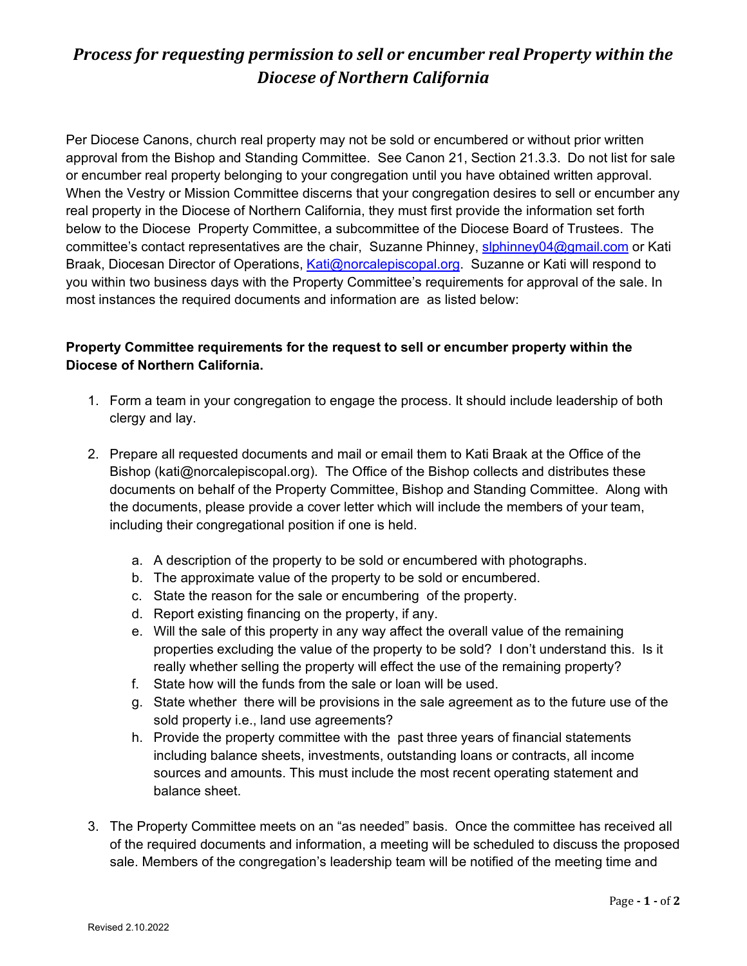# *Process for requesting permission to sell or encumber real Property within the Diocese of Northern California*

Per Diocese Canons, church real property may not be sold or encumbered or without prior written approval from the Bishop and Standing Committee. See Canon 21, Section 21.3.3. Do not list for sale or encumber real property belonging to your congregation until you have obtained written approval. When the Vestry or Mission Committee discerns that your congregation desires to sell or encumber any real property in the Diocese of Northern California, they must first provide the information set forth below to the Diocese Property Committee, a subcommittee of the Diocese Board of Trustees. The committee's contact representatives are the chair, Suzanne Phinney, [slphinney04@gmail.com](mailto:slphinney04@gmail.com) or Kati Braak, Diocesan Director of Operations, [Kati@norcalepiscopal.org.](mailto:Kati@norcalepiscopal.org) Suzanne or Kati will respond to you within two business days with the Property Committee's requirements for approval of the sale. In most instances the required documents and information are as listed below:

### **Property Committee requirements for the request to sell or encumber property within the Diocese of Northern California.**

- 1. Form a team in your congregation to engage the process. It should include leadership of both clergy and lay.
- 2. Prepare all requested documents and mail or email them to Kati Braak at the Office of the Bishop (kati@norcalepiscopal.org). The Office of the Bishop collects and distributes these documents on behalf of the Property Committee, Bishop and Standing Committee. Along with the documents, please provide a cover letter which will include the members of your team, including their congregational position if one is held.
	- a. A description of the property to be sold or encumbered with photographs.
	- b. The approximate value of the property to be sold or encumbered.
	- c. State the reason for the sale or encumbering of the property.
	- d. Report existing financing on the property, if any.
	- e. Will the sale of this property in any way affect the overall value of the remaining properties excluding the value of the property to be sold? I don't understand this. Is it really whether selling the property will effect the use of the remaining property?
	- f. State how will the funds from the sale or loan will be used.
	- g. State whether there will be provisions in the sale agreement as to the future use of the sold property i.e., land use agreements?
	- h. Provide the property committee with the past three years of financial statements including balance sheets, investments, outstanding loans or contracts, all income sources and amounts. This must include the most recent operating statement and balance sheet.
- 3. The Property Committee meets on an "as needed" basis. Once the committee has received all of the required documents and information, a meeting will be scheduled to discuss the proposed sale. Members of the congregation's leadership team will be notified of the meeting time and